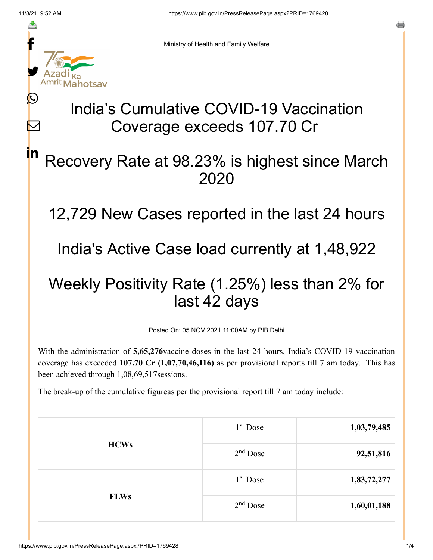≛

 $\bm{\nabla}$ 

in



Ministry of Health and Family Welfare

## India's Cumulative COVID-19 Vaccination Coverage exceeds 107.70 Cr

## Recovery Rate at 98.23% is highest since March 2020

12,729 New Cases reported in the last 24 hours

India's Active Case load currently at 1,48,922

## Weekly Positivity Rate (1.25%) less than 2% for last 42 days

Posted On: 05 NOV 2021 11:00AM by PIB Delhi

With the administration of **5,65,276**vaccine doses in the last 24 hours, India's COVID-19 vaccination coverage has exceeded **107.70 Cr (1,07,70,46,116)** as per provisional reports till 7 am today. This has been achieved through 1,08,69,517sessions.

The break-up of the cumulative figureas per the provisional report till 7 am today include:

| <b>HCWs</b> | $1st$ Dose | 1,03,79,485 |
|-------------|------------|-------------|
|             | $2nd$ Dose | 92,51,816   |
| <b>FLWs</b> | $1st$ Dose | 1,83,72,277 |
|             | $2nd$ Dose | 1,60,01,188 |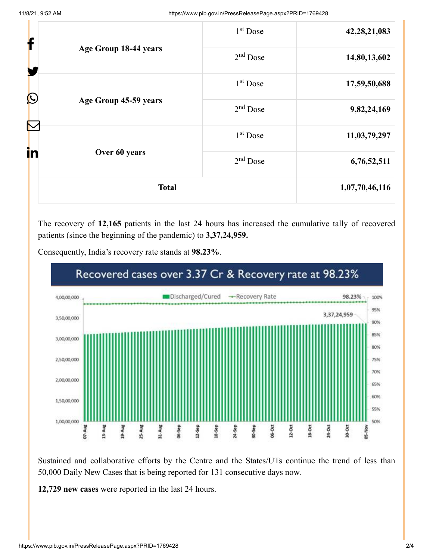| f            |                       | 1 <sup>st</sup> Dose | 42, 28, 21, 083 |
|--------------|-----------------------|----------------------|-----------------|
|              | Age Group 18-44 years | $2nd$ Dose           | 14,80,13,602    |
| $\bigcirc$   |                       | 1 <sup>st</sup> Dose | 17,59,50,688    |
|              | Age Group 45-59 years | $2nd$ Dose           | 9,82,24,169     |
|              |                       | 1 <sup>st</sup> Dose | 11,03,79,297    |
| in           | Over 60 years         | $2nd$ Dose           | 6,76,52,511     |
| <b>Total</b> |                       | 1,07,70,46,116       |                 |

The recovery of **12,165** patients in the last 24 hours has increased the cumulative tally of recovered patients (since the beginning of the pandemic) to **3,37,24,959.**



Consequently, India's recovery rate stands at **98.23%**.

Sustained and collaborative efforts by the Centre and the States/UTs continue the trend of less than 50,000 Daily New Cases that is being reported for 131 consecutive days now.

**12,729 new cases** were reported in the last 24 hours.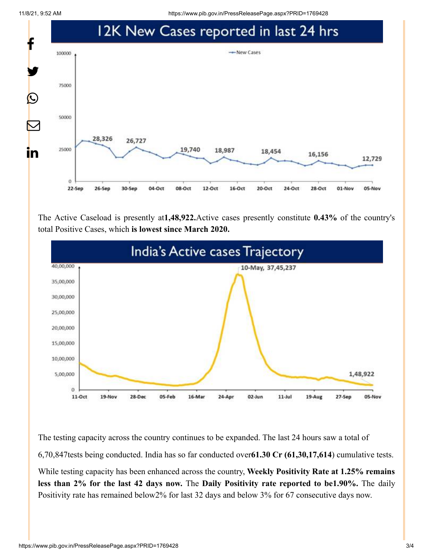11/8/21, 9:52 AM https://www.pib.gov.in/PressReleasePage.aspx?PRID=1769428



The Active Caseload is presently at**1,48,922.**Active cases presently constitute **0.43%** of the country's total Positive Cases, which **is lowest since March 2020.**



The testing capacity across the country continues to be expanded. The last 24 hours saw a total of 6,70,847tests being conducted. India has so far conducted over**61.30 Cr (61,30,17,614**) cumulative tests. While testing capacity has been enhanced across the country, **Weekly Positivity Rate at 1.25% remains**

**less than 2% for the last 42 days now.** The **Daily Positivity rate reported to be1.90%.** The daily Positivity rate has remained below2% for last 32 days and below 3% for 67 consecutive days now.